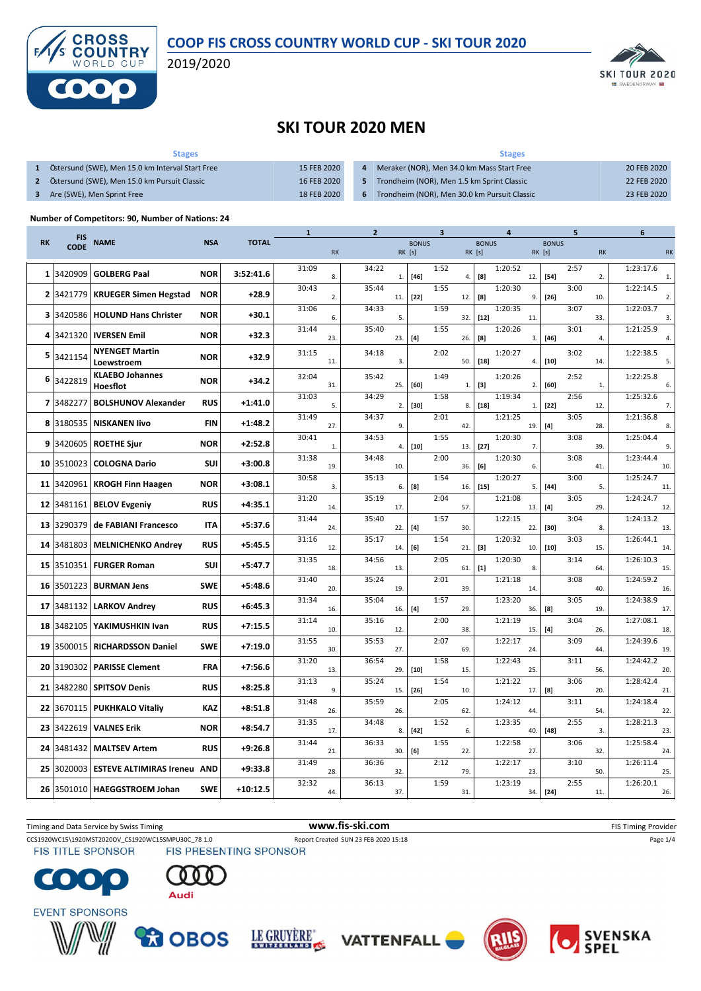

2019/2020



# **SKI TOUR 2020 MEN**

| <b>Stages</b>                                    |             | <b>Stages</b>  |                                              |             |  |  |  |  |
|--------------------------------------------------|-------------|----------------|----------------------------------------------|-------------|--|--|--|--|
| Östersund (SWE), Men 15.0 km Interval Start Free | 15 FEB 2020 | $\overline{a}$ | Meraker (NOR), Men 34.0 km Mass Start Free   | 20 FEB 2020 |  |  |  |  |
| Östersund (SWE), Men 15.0 km Pursuit Classic     | 16 FEB 2020 |                | Trondheim (NOR), Men 1.5 km Sprint Classic   | 22 FEB 2020 |  |  |  |  |
| Are (SWE), Men Sprint Free                       | 18 FEB 2020 | 6              | Trondheim (NOR), Men 30.0 km Pursuit Classic | 23 FEB 2020 |  |  |  |  |

### **Number of Competitors: 90, Number of Nations: 24**

|    |                           |                                    |            |              | $\mathbf{1}$ |           | $\overline{2}$ |                  |        | 3            |     |        | 4       |              |        | 5    |           | 6                |
|----|---------------------------|------------------------------------|------------|--------------|--------------|-----------|----------------|------------------|--------|--------------|-----|--------|---------|--------------|--------|------|-----------|------------------|
| RK | <b>FIS</b><br><b>CODE</b> | <b>NAME</b>                        | <b>NSA</b> | <b>TOTAL</b> |              |           |                | <b>BONUS</b>     |        | <b>BONUS</b> |     |        |         | <b>BONUS</b> |        |      |           |                  |
|    |                           |                                    |            |              |              | <b>RK</b> |                |                  | RK [s] |              |     | RK [s] |         | RK [s]       |        |      | <b>RK</b> | <b>RK</b>        |
|    |                           |                                    |            |              | 31:09        |           | 34:22          |                  |        | 1:52         |     |        | 1:20:52 |              |        | 2:57 |           | 1:23:17.6        |
|    | 1 3420909                 | <b>GOLBERG Paal</b>                | <b>NOR</b> | 3:52:41.6    |              | 8.        |                | 1.               | $[46]$ |              | 4.  | [8]    |         | 12.          | $[54]$ |      | 2.        | 1.               |
|    |                           |                                    |            |              | 30:43        |           | 35:44          |                  |        | 1:55         |     |        | 1:20:30 |              |        | 3:00 |           | 1:22:14.5        |
|    | 2 3421779                 | <b>KRUEGER Simen Hegstad</b>       | <b>NOR</b> | $+28.9$      |              | 2.        |                | 11.              | $[22]$ |              | 12. | [8]    |         | 9.           | $[26]$ |      | 10.       | 2.               |
|    |                           |                                    |            |              | 31:06        |           | 34:33          |                  |        | 1:59         |     |        | 1:20:35 |              |        | 3:07 |           | 1:22:03.7        |
| 3  | 3420586                   | <b>HOLUND Hans Christer</b>        | <b>NOR</b> | $+30.1$      |              | 6.        |                | 5.               |        |              | 32. | $[12]$ |         | 11.          |        |      | 33.       | 3.               |
| 4  | 3421320                   | <b>IVERSEN Emil</b>                | <b>NOR</b> | $+32.3$      | 31:44        |           | 35:40          |                  |        | 1:55         |     |        | 1:20:26 |              |        | 3:01 |           | 1:21:25.9        |
|    |                           |                                    |            |              |              | 23.       |                | 23.              | $[4]$  |              | 26. | [8]    |         | 3.           | $[46]$ |      | 4.        | $\overline{4}$   |
| 5. | 3421154                   | <b>NYENGET Martin</b>              | <b>NOR</b> | $+32.9$      | 31:15        |           | 34:18          |                  |        | 2:02         |     |        | 1:20:27 |              |        | 3:02 |           | 1:22:38.5        |
|    |                           | Loewstroem                         |            |              |              | 11.       |                | 3.               |        |              | 50. | $[18]$ |         | 4.           | $[10]$ |      | 14.       | 5.               |
| 6  | 3422819                   | <b>KLAEBO Johannes</b>             | <b>NOR</b> | $+34.2$      | 32:04        |           | 35:42          |                  |        | 1:49         |     |        | 1:20:26 |              |        | 2:52 |           | 1:22:25.8        |
|    |                           | Hoesflot                           |            |              |              | 31.       |                | 25.              | [60]   |              | 1.  | $[3]$  |         | 2.           | [60]   |      | 1.        | 6.               |
|    | 7 3482277                 | <b>BOLSHUNOV Alexander</b>         | <b>RUS</b> | $+1:41.0$    | 31:03        |           | 34:29          |                  |        | 1:58         |     |        | 1:19:34 |              |        | 2:56 |           | 1:25:32.6        |
|    |                           |                                    |            |              |              | 5.        |                | 2.               | $[30]$ |              | 8.  | $[18]$ |         | 1.           | $[22]$ |      | 12.       | 7.               |
| 8  | 3180535                   | <b>NISKANEN livo</b>               | <b>FIN</b> | $+1:48.2$    | 31:49        | 27.       | 34:37          | 9.               |        | 2:01         | 42. |        | 1:21:25 | 19.          | $[4]$  | 3:05 | 28.       | 1:21:36.8<br>8.  |
|    |                           |                                    |            |              | 30:41        |           | 34:53          |                  |        | 1:55         |     |        | 1:20:30 |              |        | 3:08 |           | 1:25:04.4        |
| 9  | 3420605                   | <b>ROETHE Sjur</b>                 | <b>NOR</b> | $+2:52.8$    |              | 1.        |                | $\overline{4}$ . | $[10]$ |              | 13. | $[27]$ |         | 7.           |        |      | 39.       | 9.               |
|    |                           |                                    |            |              | 31:38        |           | 34:48          |                  |        | 2:00         |     |        | 1:20:30 |              |        | 3:08 |           | 1:23:44.4        |
| 10 | 3510023                   | <b>COLOGNA Dario</b>               | <b>SUI</b> | $+3:00.8$    |              | 19.       |                | 10.              |        |              | 36. | [6]    |         | 6.           |        |      | 41.       | 10.              |
|    |                           |                                    |            |              | 30:58        |           | 35:13          |                  |        | 1:54         |     |        | 1:20:27 |              |        | 3:00 |           | 1:25:24.7        |
|    | 11 3420961                | <b>KROGH Finn Haagen</b>           | <b>NOR</b> | $+3:08.1$    |              | 3.        |                | 6.               | [8]    |              | 16. | $[15]$ |         | 5.           | $[44]$ |      | 5.        | 11.              |
| 12 | 3481161                   | <b>BELOV Evgeniy</b>               | <b>RUS</b> | $+4:35.1$    | 31:20        |           | 35:19          |                  |        | 2:04         |     |        | 1:21:08 |              |        | 3:05 |           | 1:24:24.7        |
|    |                           |                                    |            |              |              | 14.       |                | 17.              |        |              | 57. |        |         | 13.          | [4]    |      | 29.       | 12.              |
| 13 | 3290379                   | de FABIANI Francesco               | <b>ITA</b> | $+5:37.6$    | 31:44        | 24.       | 35:40          | 22.              |        | 1:57         | 30. |        | 1:22:15 | 22.          | $[30]$ | 3:04 | 8.        | 1:24:13.2<br>13. |
|    |                           |                                    |            |              | 31:16        |           | 35:17          |                  | $[4]$  | 1:54         |     |        | 1:20:32 |              |        | 3:03 |           | 1:26:44.1        |
| 14 | 3481803                   | <b>MELNICHENKO Andrey</b>          | <b>RUS</b> | $+5:45.5$    |              | 12.       |                | 14.              | [6]    |              | 21. | $[3]$  |         | 10.          | $[10]$ |      | 15.       | 14.              |
|    |                           |                                    |            |              | 31:35        |           | 34:56          |                  |        | 2:05         |     |        | 1:20:30 |              |        | 3:14 |           | 1:26:10.3        |
| 15 | 3510351                   | <b>FURGER Roman</b>                | SUI        | $+5:47.7$    |              | 18.       |                | 13.              |        |              | 61. | $[1]$  |         | 8.           |        |      | 64.       | 15.              |
|    |                           |                                    |            |              | 31:40        |           | 35:24          |                  |        | 2:01         |     |        | 1:21:18 |              |        | 3:08 |           | 1:24:59.2        |
| 16 | 3501223                   | <b>BURMAN Jens</b>                 | <b>SWE</b> | $+5:48.6$    |              | 20.       |                | 19.              |        |              | 39. |        |         | 14.          |        |      | 40.       | 16.              |
| 17 | 3481132                   | <b>LARKOV Andrey</b>               | <b>RUS</b> | $+6:45.3$    | 31:34        |           | 35:04          |                  |        | 1:57         |     |        | 1:23:20 |              |        | 3:05 |           | 1:24:38.9        |
|    |                           |                                    |            |              |              | 16.       |                | 16.              | $[4]$  |              | 29. |        |         | 36.          | [8]    |      | 19.       | 17.              |
| 18 | 3482105                   | YAKIMUSHKIN Ivan                   | <b>RUS</b> | $+7:15.5$    | 31:14        | 10.       | 35:16          | 12.              |        | 2:00         | 38. |        | 1:21:19 | 15.          | [4]    | 3:04 | 26.       | 1:27:08.1<br>18. |
|    |                           |                                    |            |              | 31:55        |           | 35:53          |                  |        | 2:07         |     |        | 1:22:17 |              |        | 3:09 |           | 1:24:39.6        |
| 19 | 3500015                   | <b>RICHARDSSON Daniel</b>          | <b>SWE</b> | +7:19.0      |              | 30.       |                | 27.              |        |              | 69. |        |         | 24.          |        |      | 44.       | 19.              |
|    |                           |                                    |            |              | 31:20        |           | 36:54          |                  |        | 1:58         |     |        | 1:22:43 |              |        | 3:11 |           | 1:24:42.2        |
| 20 | 3190302                   | <b>PARISSE Clement</b>             | <b>FRA</b> | $+7:56.6$    |              | 13.       |                | 29.              | $[10]$ |              | 15. |        |         | 25.          |        |      | 56.       | 20.              |
| 21 |                           | <b>SPITSOV Denis</b>               | <b>RUS</b> | $+8:25.8$    | 31:13        |           | 35:24          |                  |        | 1:54         |     |        | 1:21:22 |              |        | 3:06 |           | 1:28:42.4        |
|    | 3482280                   |                                    |            |              |              | 9.        |                | 15.              | $[26]$ |              | 10. |        |         | 17.          | [8]    |      | 20.       | 21.              |
| 22 | 3670115                   | <b>PUKHKALO Vitaliy</b>            | <b>KAZ</b> | $+8:51.8$    | 31:48        |           | 35:59          |                  |        | 2:05         |     |        | 1:24:12 |              |        | 3:11 |           | 1:24:18.4        |
|    |                           |                                    |            |              |              | 26.       |                | 26.              |        |              | 62. |        |         | 44.          |        |      | 54.       | 22.              |
|    | 23 3422619                | <b>VALNES Erik</b>                 | <b>NOR</b> | $+8:54.7$    | 31:35        | 17.       | 34:48          | 8.               | $[42]$ | 1:52         | 6.  |        | 1:23:35 | 40.          | $[48]$ | 2:55 | 3.        | 1:28:21.3<br>23. |
|    |                           |                                    |            |              | 31:44        |           | 36:33          |                  |        | 1:55         |     |        | 1:22:58 |              |        | 3:06 |           | 1:25:58.4        |
| 24 | 3481432                   | <b>MALTSEV Artem</b>               | <b>RUS</b> | $+9:26.8$    |              | 21.       |                | 30.              | [6]    |              | 22. |        |         | 27.          |        |      | 32.       | 24.              |
|    |                           |                                    |            |              | 31:49        |           | 36:36          |                  |        | 2:12         |     |        | 1:22:17 |              |        | 3:10 |           | 1:26:11.4        |
| 25 | 3020003                   | <b>ESTEVE ALTIMIRAS Ireneu AND</b> |            | $+9:33.8$    |              | 28.       |                | 32.              |        |              | 79. |        |         | 23.          |        |      | 50.       | 25.              |
|    |                           |                                    | <b>SWE</b> | $+10:12.5$   | 32:32        |           | 36:13          |                  |        | 1:59         |     |        | 1:23:19 |              |        | 2:55 |           | 1:26:20.1        |
| 26 | 3501010                   | <b>HAEGGSTROEM Johan</b>           |            |              |              | 44.       |                | 37.              |        |              | 31. |        |         | 34.          | $[24]$ |      | 11.       | 26.              |

CCS1920WC15\1920MST2020OV\_CS1920WC15SMPU30C\_78 1.0 Report Created SUN 23 FEB 2020 15:18 Page 1/4 Page 1/4 Page 1/4<br>FIS TITLE SPONSOR FIS PRESENTING SPONSOR Timing and Data Service by Swiss Timing **WWW.fis-Ski.com WWW.fis-Ski.com** FIS Timing Provider















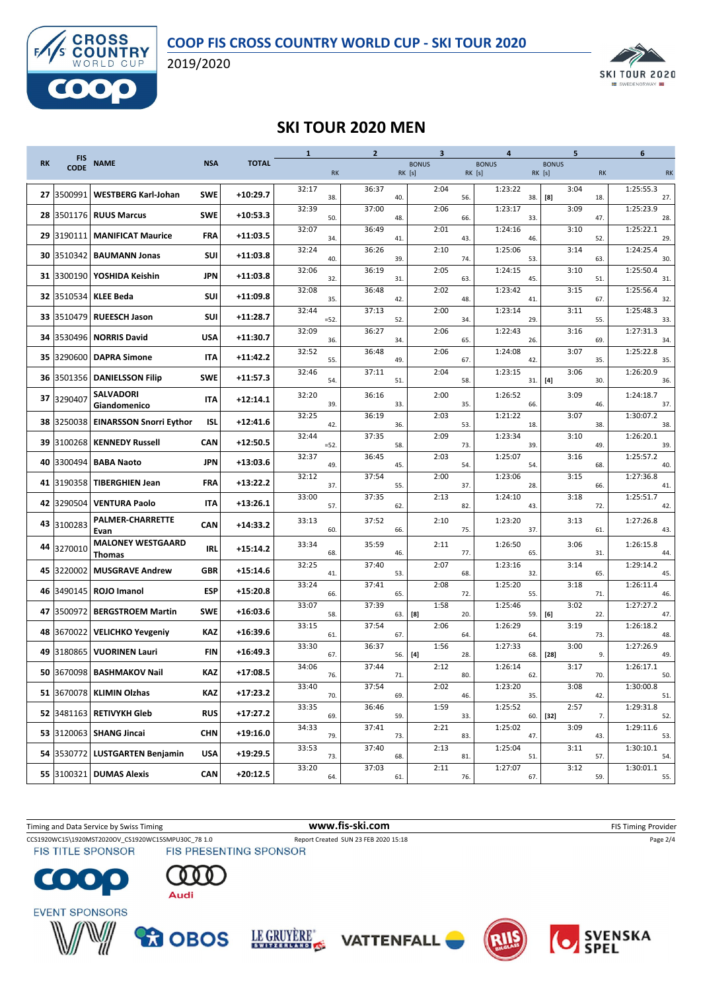**COOP FIS CROSS COUNTRY WORLD CUP - SKI TOUR 2020**





# **SKI TOUR 2020 MEN**

|           | <b>FIS</b>  |                                  |            |              | $\mathbf{1}$<br><b>RK</b> |         | $\overline{2}$ |                        | 3           |                        | 4       |        | 5              |     | 6                      |
|-----------|-------------|----------------------------------|------------|--------------|---------------------------|---------|----------------|------------------------|-------------|------------------------|---------|--------|----------------|-----|------------------------|
| <b>RK</b> | <b>CODE</b> | <b>NAME</b>                      | <b>NSA</b> | <b>TOTAL</b> |                           |         |                | <b>BONUS</b><br>RK [s] |             | <b>BONUS</b><br>RK [s] |         | RK [s] | <b>BONUS</b>   |     | <b>RK</b><br><b>RK</b> |
|           |             |                                  |            |              |                           |         |                |                        |             |                        |         |        |                |     |                        |
| 27        | 3500991     | <b>WESTBERG Karl-Johan</b>       | <b>SWE</b> | $+10:29.7$   | 32:17                     | 38.     | 36:37          | 40.                    | 2:04        | 56.                    | 1:23:22 | 38.    | 3:04<br>[8]    | 18. | 1:25:55.3<br>27.       |
|           | 28 3501176  | <b>RUUS Marcus</b>               | <b>SWE</b> | $+10:53.3$   | 32:39                     | 50.     | 37:00          | 48.                    | 2:06        | 66.                    | 1:23:17 | 33.    | 3:09           | 47. | 1:25:23.9<br>28.       |
|           | 29 3190111  | <b>MANIFICAT Maurice</b>         | <b>FRA</b> | $+11:03.5$   | 32:07                     |         | 36:49          |                        | 2:01        |                        | 1:24:16 |        | 3:10           |     | 1:25:22.1              |
|           |             |                                  |            |              | 32:24                     | 34.     | 36:26          | 41.                    | 2:10        | 43.                    | 1:25:06 | 46.    | 3:14           | 52. | 29.<br>1:24:25.4       |
|           | 30 3510342  | <b>BAUMANN Jonas</b>             | <b>SUI</b> | $+11:03.8$   | 32:06                     | 40.     | 36:19          | 39.                    | 2:05        | 74.                    | 1:24:15 | 53.    | 3:10           | 63. | 30.<br>1:25:50.4       |
| 31        | 3300190     | YOSHIDA Keishin                  | <b>JPN</b> | $+11:03.8$   |                           | 32.     |                | 31.                    |             | 63.                    |         | 45.    |                | 51. | 31.                    |
|           | 32 3510534  | <b>KLEE Beda</b>                 | SUI        | $+11:09.8$   | 32:08                     | 35.     | 36:48          | 42.                    | 2:02        | 48.                    | 1:23:42 | 41.    | 3:15           | 67. | 1:25:56.4<br>32.       |
|           | 33 3510479  | <b>RUEESCH Jason</b>             | <b>SUI</b> | $+11:28.7$   | 32:44                     | $=52$ . | 37:13          | 52.                    | 2:00        | 34.                    | 1:23:14 | 29.    | 3:11           | 55. | 1:25:48.3<br>33.       |
| 34        | 3530496     | <b>NORRIS David</b>              | <b>USA</b> | $+11:30.7$   | 32:09                     | 36.     | 36:27          | 34.                    | 2:06        | 65.                    | 1:22:43 | 26.    | 3:16           | 69. | 1:27:31.3<br>34.       |
| 35        | 3290600     | <b>DAPRA Simone</b>              | <b>ITA</b> | $+11:42.2$   | 32:52                     |         | 36:48          |                        | 2:06        |                        | 1:24:08 |        | 3:07           |     | 1:25:22.8              |
|           |             |                                  |            |              | 32:46                     | 55.     | 37:11          | 49.                    | 2:04        | 67.                    | 1:23:15 | 42.    | 3:06           | 35. | 35.<br>1:26:20.9       |
| 36        | 3501356     | <b>DANIELSSON Filip</b>          | <b>SWE</b> | $+11:57.3$   |                           | 54.     |                | 51.                    |             | 58.                    |         | 31.    | [4]            | 30. | 36.                    |
| 37        | 3290407     | <b>SALVADORI</b><br>Giandomenico | IΤΑ        | $+12:14.1$   | 32:20                     | 39.     | 36:16          | 33.                    | 2:00        | 35.                    | 1:26:52 | 66.    | 3:09           | 46. | 1:24:18.7<br>37.       |
| 38        | 3250038     | <b>EINARSSON Snorri Eythor</b>   | <b>ISL</b> | $+12:41.6$   | 32:25                     | 42.     | 36:19          | 36.                    | 2:03        | 53.                    | 1:21:22 | 18.    | 3:07           | 38. | 1:30:07.2<br>38.       |
| 39        | 3100268     | <b>KENNEDY Russell</b>           | CAN        | $+12:50.5$   | 32:44                     |         | 37:35          |                        | 2:09        |                        | 1:23:34 | 39.    | 3:10           | 49. | 1:26:20.1<br>39.       |
|           |             |                                  |            |              | 32:37                     | $=52.$  | 36:45          | 58.                    | 2:03        | 73.                    | 1:25:07 |        | 3:16           |     | 1:25:57.2              |
| 40        | 3300494     | <b>BABA Naoto</b>                | <b>JPN</b> | $+13:03.6$   | 32:12                     | 49.     | 37:54          | 45.                    | 2:00        | 54.                    | 1:23:06 | 54.    | 3:15           | 68. | 40.<br>1:27:36.8       |
|           | 41 3190358  | <b>TIBERGHIEN Jean</b>           | <b>FRA</b> | $+13:22.2$   |                           | 37.     |                | 55.                    |             | 37.                    |         | 28.    |                | 66. | 41.                    |
|           | 42 3290504  | <b>VENTURA Paolo</b>             | <b>ITA</b> | $+13:26.1$   | 33:00                     | 57.     | 37:35          | 62.                    | 2:13        | 82.                    | 1:24:10 | 43.    | 3:18           | 72. | 1:25:51.7<br>42.       |
| 43        | 3100283     | <b>PALMER-CHARRETTE</b>          | CAN        | $+14:33.2$   | 33:13                     | 60.     | 37:52          | 66.                    | 2:10        | 75.                    | 1:23:20 | 37.    | 3:13           | 61. | 1:27:26.8<br>43.       |
| 44        |             | Evan<br><b>MALONEY WESTGAARD</b> |            |              | 33:34                     |         | 35:59          |                        | 2:11        |                        | 1:26:50 |        | 3:06           |     | 1:26:15.8              |
|           | 3270010     | <b>Thomas</b>                    | <b>IRL</b> | $+15:14.2$   | 32:25                     | 68.     | 37:40          | 46.                    | 2:07        | 77.                    | 1:23:16 | 65.    | 3:14           | 31. | 44.<br>1:29:14.2       |
| 45        | 3220002     | <b>MUSGRAVE Andrew</b>           | <b>GBR</b> | $+15:14.6$   |                           | 41.     |                | 53.                    |             | 68.                    |         | 32.    |                | 65. | 45.                    |
| 46        | 3490145     | ROJO Imanol                      | <b>ESP</b> | $+15:20.8$   | 33:24                     | 66.     | 37:41          | 65.                    | 2:08        | 72.                    | 1:25:20 | 55.    | 3:18           | 71. | 1:26:11.4<br>46.       |
| 47        | 3500972     | <b>BERGSTROEM Martin</b>         | <b>SWE</b> | $+16:03.6$   | 33:07                     | 58.     | 37:39          | 63.                    | 1:58<br>[8] | 20.                    | 1:25:46 | 59.    | 3:02<br>[6]    | 22. | 1:27:27.2<br>47.       |
| 48        | 3670022     | <b>VELICHKO Yevgeniy</b>         | KAZ        | $+16:39.6$   | 33:15                     | 61.     | 37:54          | 67.                    | 2:06        | 64.                    | 1:26:29 | 64.    | 3:19           | 73. | 1:26:18.2<br>48.       |
| 49        | 3180865     | <b>VUORINEN Lauri</b>            | <b>FIN</b> | $+16:49.3$   | 33:30                     |         | 36:37          |                        | 1:56        |                        | 1:27:33 |        | 3:00           |     | 1:27:26.9              |
|           |             |                                  |            |              | 34:06                     | 67.     | 37:44          | 56.                    | [4]<br>2:12 | 28.                    | 1:26:14 | 68.    | $[28]$<br>3:17 | 9.  | 49.<br>1:26:17.1       |
|           |             | 50 3670098 BASHMAKOV Nail        | KAZ        | $+17:08.5$   | 33:40                     | 76.     | 37:54          | 71                     | 2:02        | 80                     | 1:23:20 | 62     | 3:08           | 70. | 50.<br>1:30:00.8       |
|           | 51 3670078  | <b>KLIMIN Olzhas</b>             | KAZ        | $+17:23.2$   |                           | 70.     |                | 69.                    |             | 46.                    |         | 35.    |                | 42. | 51.                    |
|           |             | 52 3481163 RETIVYKH Gleb         | RUS        | $+17:27.2$   | 33:35                     | 69.     | 36:46          | 59.                    | 1:59        | 33.                    | 1:25:52 | 60.    | 2:57<br>$[32]$ | 7.  | 1:29:31.8<br>52.       |
|           |             | 53 3120063 SHANG Jincai          | <b>CHN</b> | $+19:16.0$   | 34:33                     | 79.     | 37:41          | 73.                    | 2:21        | 83.                    | 1:25:02 | 47.    | 3:09           | 43. | 1:29:11.6<br>53.       |
|           | 54 3530772  | <b>LUSTGARTEN Benjamin</b>       | <b>USA</b> | $+19:29.5$   | 33:53                     |         | 37:40          |                        | 2:13        | 81.                    | 1:25:04 | 51.    | 3:11           | 57. | 1:30:10.1              |
|           |             |                                  |            |              | 33:20                     | 73.     | 37:03          | 68.                    | 2:11        |                        | 1:27:07 |        | 3:12           |     | 54.<br>1:30:01.1       |
|           |             | 55 3100321 DUMAS Alexis          | CAN        | $+20:12.5$   |                           | 64.     |                | 61.                    |             | 76.                    |         | 67.    |                | 59. | 55.                    |

Timing and Data Service by Swiss Timing **WWW.fis-Ski.com WWW.fis-Ski.com** FIS Timing Provider CCS1920WC15\1920MST2020OV\_CS1920WC15SMPU30C\_78 1.0 Report Created SUN 23 FEB 2020 15:18 Page 2/4 Page 2/4 Page 2/4<br>FIS TITLE SPONSOR FIS PRESENTING SPONSOR C  $\bullet$  .  $\bullet$ Audi











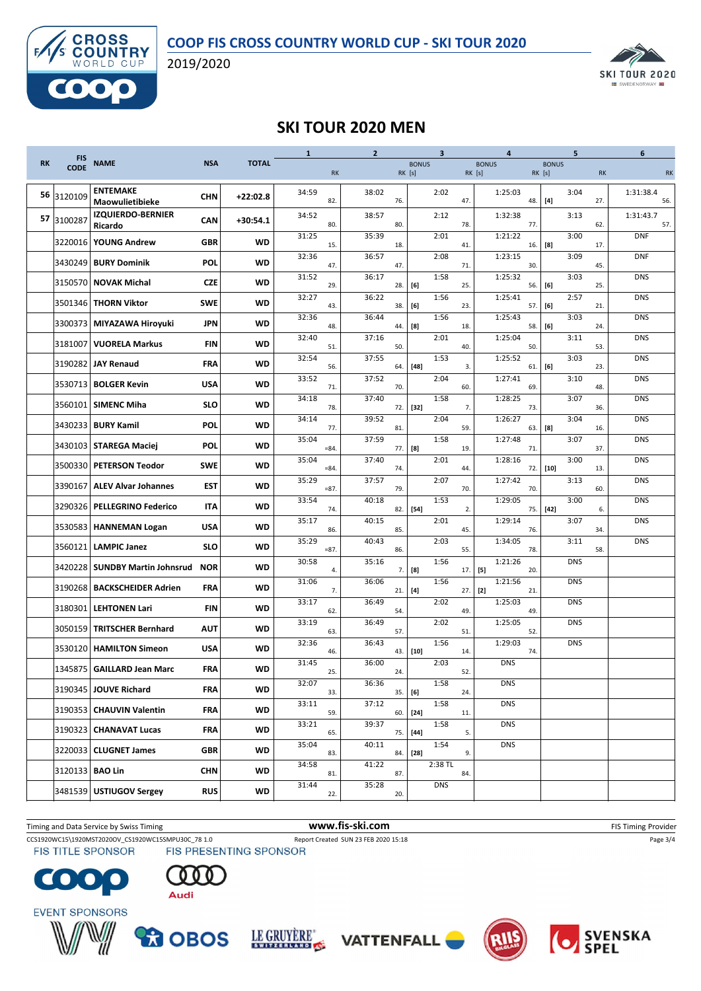**COOP FIS CROSS COUNTRY WORLD CUP - SKI TOUR 2020**





# **SKI TOUR 2020 MEN**

|           | <b>FIS</b>        |                                     |            |              | $\mathbf{1}$ |           | $\overline{2}$ |        | $\overline{\mathbf{3}}$ |     | 4                      |        | 5              |           | 6                |
|-----------|-------------------|-------------------------------------|------------|--------------|--------------|-----------|----------------|--------|-------------------------|-----|------------------------|--------|----------------|-----------|------------------|
| <b>RK</b> | <b>CODE</b>       | <b>NAME</b>                         | <b>NSA</b> | <b>TOTAL</b> |              | <b>RK</b> |                | RK [s] | <b>BONUS</b>            |     | <b>BONUS</b><br>RK [s] | RK [s] | <b>BONUS</b>   | <b>RK</b> | <b>RK</b>        |
|           |                   | <b>ENTEMAKE</b>                     |            |              | 34:59        |           | 38:02          |        | 2:02                    |     | 1:25:03                |        | 3:04           |           | 1:31:38.4        |
| 56        | 3120109           | Maowulietibieke                     | <b>CHN</b> | $+22:02.8$   |              | 82.       |                | 76.    |                         | 47. |                        | 48.    | $[4]$          | 27.       | 56.              |
| 57        | 3100287           | <b>IZQUIERDO-BERNIER</b><br>Ricardo | CAN        | $+30:54.1$   | 34:52        | 80.       | 38:57          | 80.    | 2:12                    | 78. | 1:32:38                | 77.    | 3:13           | 62.       | 1:31:43.7<br>57. |
|           | 3220016           | <b>YOUNG Andrew</b>                 | <b>GBR</b> | <b>WD</b>    | 31:25        | 15.       | 35:39          | 18.    | 2:01                    | 41. | 1:21:22                | 16.    | 3:00<br>[8]    | 17.       | <b>DNF</b>       |
|           | 3430249           | <b>BURY Dominik</b>                 | POL        | <b>WD</b>    | 32:36        |           | 36:57          |        | 2:08                    |     | 1:23:15                |        | 3:09           |           | <b>DNF</b>       |
|           | 3150570           | <b>NOVAK Michal</b>                 |            | <b>WD</b>    | 31:52        | 47.       | 36:17          | 47.    | 1:58                    | 71. | 1:25:32                | 30.    | 3:03           | 45.       | <b>DNS</b>       |
|           |                   |                                     | <b>CZE</b> |              | 32:27        | 29.       | 36:22          | 28.    | [6]<br>1:56             | 25. | 1:25:41                | 56.    | [6]<br>2:57    | 25.       | <b>DNS</b>       |
|           | 3501346           | <b>THORN Viktor</b>                 | <b>SWE</b> | <b>WD</b>    | 32:36        | 43.       | 36:44          | 38.    | [6]<br>1:56             | 23. | 1:25:43                | 57.    | [6]<br>3:03    | 21.       | <b>DNS</b>       |
|           | 3300373           | MIYAZAWA Hiroyuki                   | <b>JPN</b> | <b>WD</b>    | 32:40        | 48.       | 37:16          | 44.    | [8]<br>2:01             | 18. | 1:25:04                | 58.    | [6]<br>3:11    | 24.       | <b>DNS</b>       |
|           | 3181007           | <b>VUORELA Markus</b>               | <b>FIN</b> | <b>WD</b>    |              | 51.       |                | 50.    |                         | 40. |                        | 50.    |                | 53.       |                  |
|           | 3190282           | <b>JAY Renaud</b>                   | FRA        | <b>WD</b>    | 32:54        | 56.       | 37:55          | 64.    | 1:53<br>$[48]$          | 3.  | 1:25:52                | 61.    | 3:03<br>[6]    | 23.       | <b>DNS</b>       |
|           | 3530713           | <b>BOLGER Kevin</b>                 | <b>USA</b> | <b>WD</b>    | 33:52        | 71.       | 37:52          | 70.    | 2:04                    | 60. | 1:27:41                | 69.    | 3:10           | 48.       | <b>DNS</b>       |
|           | 3560101           | <b>SIMENC Miha</b>                  | <b>SLO</b> | <b>WD</b>    | 34:18        | 78.       | 37:40          | 72.    | 1:58<br>$[32]$          | 7.  | 1:28:25                | 73.    | 3:07           | 36.       | <b>DNS</b>       |
|           | 3430233           | <b>BURY Kamil</b>                   | POL        | <b>WD</b>    | 34:14        | 77.       | 39:52          | 81.    | 2:04                    | 59. | 1:26:27                | 63.    | 3:04<br>[8]    | 16.       | <b>DNS</b>       |
|           | 3430103           | <b>STAREGA Maciej</b>               | POL        | <b>WD</b>    | 35:04        | $= 84.$   | 37:59          | 77.    | 1:58<br>[8]             | 19. | 1:27:48                | 71.    | 3:07           | 37.       | <b>DNS</b>       |
|           | 3500330           | <b>PETERSON Teodor</b>              | <b>SWE</b> | <b>WD</b>    | 35:04        | $= 84.$   | 37:40          | 74.    | 2:01                    | 44. | 1:28:16                | 72.    | 3:00<br>$[10]$ | 13.       | <b>DNS</b>       |
|           | 3390167           | <b>ALEV Alvar Johannes</b>          | <b>EST</b> | <b>WD</b>    | 35:29        | $= 87$    | 37:57          | 79.    | 2:07                    | 70. | 1:27:42                | 70.    | 3:13           | 60.       | <b>DNS</b>       |
|           | 3290326           | <b>PELLEGRINO Federico</b>          | <b>ITA</b> | <b>WD</b>    | 33:54        |           | 40:18          |        | 1:53                    |     | 1:29:05                |        | 3:00           |           | <b>DNS</b>       |
|           | 3530583           | <b>HANNEMAN Logan</b>               | USA        | <b>WD</b>    | 35:17        | 74.       | 40:15          | 82.    | $[54]$<br>2:01          | 2.  | 1:29:14                | 75.    | $[42]$<br>3:07 | 6.        | <b>DNS</b>       |
|           | 3560121           | <b>LAMPIC Janez</b>                 | <b>SLO</b> | <b>WD</b>    | 35:29        | 86.       | 40:43          | 85.    | 2:03                    | 45. | 1:34:05                | 76.    | 3:11           | 34.       | <b>DNS</b>       |
|           |                   |                                     |            |              | 30:58        | $= 87.$   | 35:16          | 86.    | 1:56                    | 55. | 1:21:26                | 78.    | <b>DNS</b>     | 58.       |                  |
|           | 3420228           | <b>SUNDBY Martin Johnsrud</b>       | <b>NOR</b> | <b>WD</b>    | 31:06        | 4.        | 36:06          | 7.     | [8]<br>1:56             | 17. | $[5]$<br>1:21:56       | 20.    | <b>DNS</b>     |           |                  |
|           | 3190268           | <b>BACKSCHEIDER Adrien</b>          | FRA        | <b>WD</b>    | 33:17        | 7.        | 36:49          | 21.    | $[4]$<br>2:02           | 27. | $[2]$<br>1:25:03       | 21.    | <b>DNS</b>     |           |                  |
|           | 3180301           | <b>LEHTONEN Lari</b>                | <b>FIN</b> | WD           |              | 62.       |                | 54.    |                         | 49. |                        | 49.    |                |           |                  |
|           | 3050159           | <b>TRITSCHER Bernhard</b>           | <b>AUT</b> | <b>WD</b>    | 33:19        | 63.       | 36:49          | 57.    | 2:02                    | 51. | 1:25:05                | 52.    | <b>DNS</b>     |           |                  |
|           | 3530120           | <b>HAMILTON Simeon</b>              | USA        | WD           | 32:36        | 46.       | 36:43          | 43.    | 1:56<br>$[10]$          | 14. | 1:29:03                | 74.    | <b>DNS</b>     |           |                  |
|           |                   | 1345875 GAILLARD Jean Marc          | FRA        | <b>WD</b>    | 31:45        | 25.       | 36:00          | 24.    | 2:03                    | 52. | <b>DNS</b>             |        |                |           |                  |
|           |                   | 3190345 JOUVE Richard               | <b>FRA</b> | <b>WD</b>    | 32:07        | 33.       | 36:36          | 35.    | 1:58<br>[6]             | 24. | <b>DNS</b>             |        |                |           |                  |
|           | 3190353           | <b>CHAUVIN Valentin</b>             | FRA        | <b>WD</b>    | 33:11        | 59.       | 37:12          | 60.    | 1:58<br>$[24]$          | 11. | <b>DNS</b>             |        |                |           |                  |
|           |                   | 3190323 CHANAVAT Lucas              | FRA        | <b>WD</b>    | 33:21        | 65.       | 39:37          | 75.    | 1:58<br>[44]            | 5.  | <b>DNS</b>             |        |                |           |                  |
|           | 3220033           | <b>CLUGNET James</b>                | <b>GBR</b> | <b>WD</b>    | 35:04        | 83.       | 40:11          |        | 1:54                    |     | <b>DNS</b>             |        |                |           |                  |
|           | 3120133   BAO Lin |                                     | <b>CHN</b> | WD           | 34:58        |           | 41:22          | 84.    | $[28]$<br>$2:38$ TL     | 9.  |                        |        |                |           |                  |
|           |                   |                                     |            |              | 31:44        | 81.       | 35:28          | 87.    | <b>DNS</b>              | 84. |                        |        |                |           |                  |
|           |                   | 3481539 USTIUGOV Sergey             | <b>RUS</b> | <b>WD</b>    |              | 22.       |                | 20.    |                         |     |                        |        |                |           |                  |